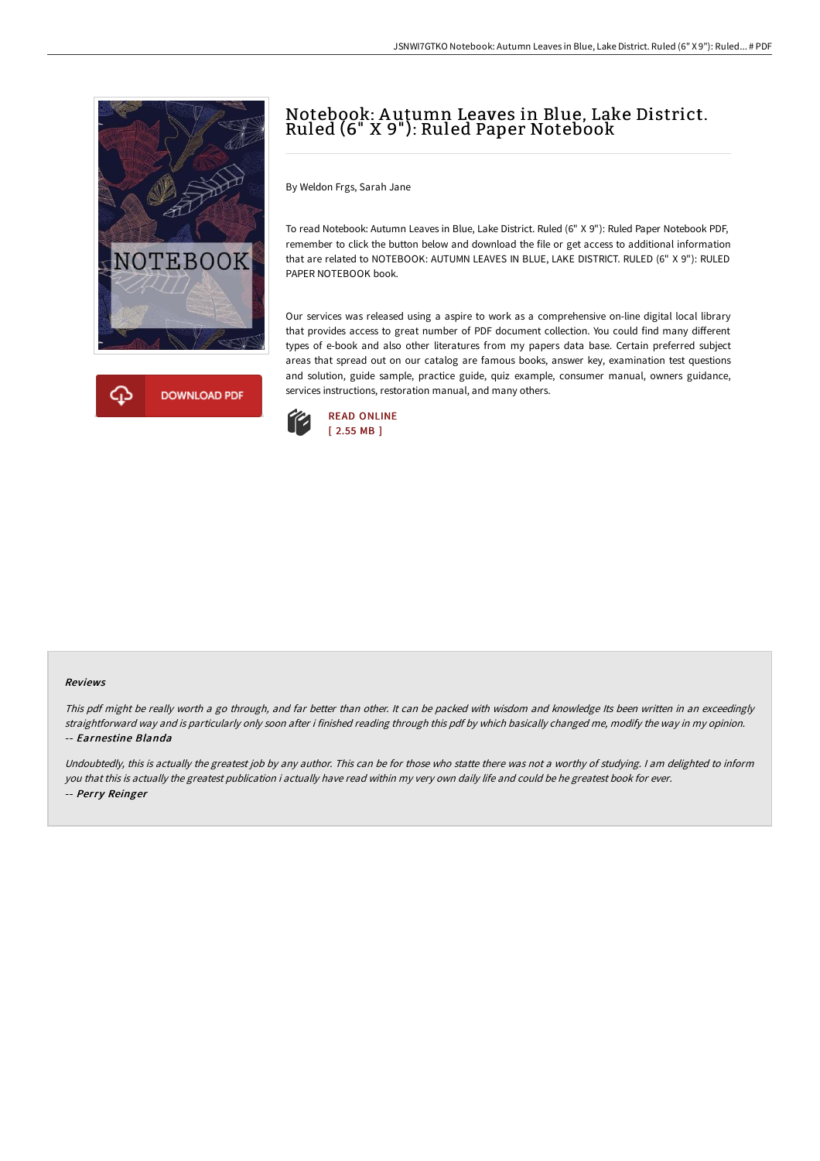



# Notebook: A utumn Leaves in Blue, Lake District. Ruled (6" X 9"): Ruled Paper Notebook

By Weldon Frgs, Sarah Jane

To read Notebook: Autumn Leaves in Blue, Lake District. Ruled (6" X 9"): Ruled Paper Notebook PDF, remember to click the button below and download the file or get access to additional information that are related to NOTEBOOK: AUTUMN LEAVES IN BLUE, LAKE DISTRICT. RULED (6" X 9"): RULED PAPER NOTEBOOK book.

Our services was released using a aspire to work as a comprehensive on-line digital local library that provides access to great number of PDF document collection. You could find many different types of e-book and also other literatures from my papers data base. Certain preferred subject areas that spread out on our catalog are famous books, answer key, examination test questions and solution, guide sample, practice guide, quiz example, consumer manual, owners guidance, services instructions, restoration manual, and many others.



#### Reviews

This pdf might be really worth <sup>a</sup> go through, and far better than other. It can be packed with wisdom and knowledge Its been written in an exceedingly straightforward way and is particularly only soon after i finished reading through this pdf by which basically changed me, modify the way in my opinion. -- Earnestine Blanda

Undoubtedly, this is actually the greatest job by any author. This can be for those who statte there was not <sup>a</sup> worthy of studying. <sup>I</sup> am delighted to inform you that this is actually the greatest publication i actually have read within my very own daily life and could be he greatest book for ever. -- Perry Reinger